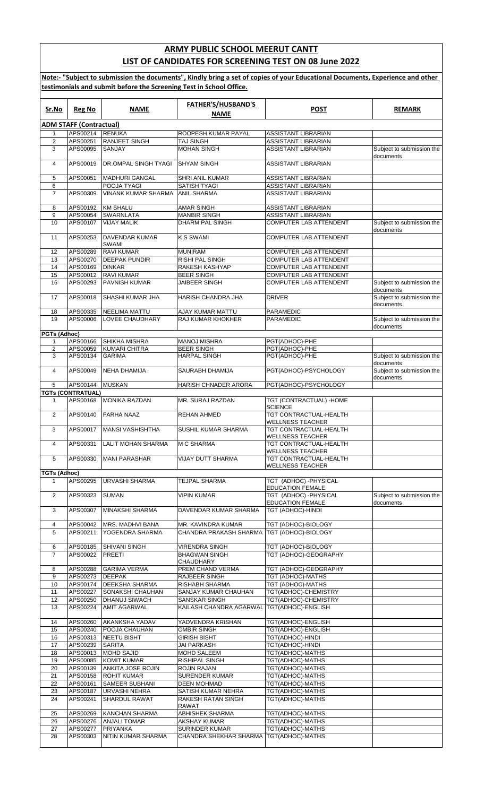## **ARMY PUBLIC SCHOOL MEERUT CANTT LIST OF CANDIDATES FOR SCREENING TEST ON 08 June 2022**

**Note:- "Subject to submission the documents", Kindly bring a set of copies of your Educational Documents, Experience and other testimonials and submit before the Screening Test in School Office.**

| Sr.No               | <b>Reg No</b>                  | <b>NAME</b>                                    | <b>FATHER'S/HUSBAND'S</b>                     | <b>POST</b>                                          | <b>REMARK</b>                                       |
|---------------------|--------------------------------|------------------------------------------------|-----------------------------------------------|------------------------------------------------------|-----------------------------------------------------|
|                     |                                |                                                | <b>NAME</b>                                   |                                                      |                                                     |
|                     | <b>ADM STAFF (Contractual)</b> |                                                |                                               |                                                      |                                                     |
| 1                   | APS00214 RENUKA                |                                                | ROOPESH KUMAR PAYAL                           | <b>ASSISTANT LIBRARIAN</b>                           |                                                     |
| 2                   | APS00251                       | RANJEET SINGH                                  | <b>TAJ SINGH</b>                              | <b>ASSISTANT LIBRARIAN</b>                           |                                                     |
| 3                   | APS00095                       | SANJAY                                         | <b>MOHAN SINGH</b>                            | ASSISTANT LIBRARIAN                                  | Subject to submission the                           |
| $\overline{4}$      | APS00019                       | DR.OMPAL SINGH TYAGI                           | <b>SHYAM SINGH</b>                            | <b>ASSISTANT LIBRARIAN</b>                           | documents                                           |
| 5                   | APS00051                       | <b>MADHURI GANGAL</b>                          | SHRI ANIL KUMAR                               | <b>ASSISTANT LIBRARIAN</b>                           |                                                     |
| 6                   |                                | POOJA TYAGI                                    | SATISH TYAGI                                  | ASSISTANT LIBRARIAN                                  |                                                     |
| $\overline{7}$      | APS00309                       | <b>VINANK KUMAR SHARMA</b>                     | <b>ANIL SHARMA</b>                            | ASSISTANT LIBRARIAN                                  |                                                     |
| 8                   | APS00192                       | <b>KM SHALU</b>                                | <b>AMAR SINGH</b>                             | <b>ASSISTANT LIBRARIAN</b>                           |                                                     |
| 9<br>10             | APS00054<br>APS00107           | <b>SWARNLATA</b><br><b>VIJAY MALIK</b>         | <b>MANBIR SINGH</b><br>DHARM PAL SINGH        | <b>ASSISTANT LIBRARIAN</b><br>COMPUTER LAB ATTENDENT |                                                     |
| 11                  | APS00253                       | <b>DAVENDAR KUMAR</b>                          | <b>K S SWAMI</b>                              | COMPUTER LAB ATTENDENT                               | Subject to submission the<br>documents              |
|                     |                                | <b>SWAMI</b>                                   |                                               |                                                      |                                                     |
| 12                  | APS00289                       | <b>RAVI KUMAR</b>                              | <b>MUNIRAM</b>                                | COMPUTER LAB ATTENDENT                               |                                                     |
| 13                  | APS00270                       | <b>DEEPAK PUNDIR</b>                           | <b>RISHI PAL SINGH</b>                        | COMPUTER LAB ATTENDENT                               |                                                     |
| 14                  | APS00169                       | <b>DINKAR</b>                                  | <b>RAKESH KASHYAP</b>                         | <b>COMPUTER LAB ATTENDENT</b>                        |                                                     |
| 15                  | APS00012                       | <b>RAVI KUMAR</b>                              | <b>BEER SINGH</b>                             | COMPUTER LAB ATTENDENT                               |                                                     |
| 16                  | APS00293                       | <b>PAVNISH KUMAR</b>                           | <b>JAIBEER SINGH</b>                          | <b>COMPUTER LAB ATTENDENT</b>                        | Subject to submission the<br>documents              |
| 17                  | APS00018                       | <b>SHASHI KUMAR JHA</b>                        | HARISH CHANDRA JHA                            | <b>DRIVER</b>                                        | Subject to submission the<br>documents              |
| 18<br>19            | APS00335<br>APS00006           | <b>NEELIMA MATTU</b><br><b>LOVEE CHAUDHARY</b> | AJAY KUMAR MATTU<br><b>RAJ KUMAR KHOKHER</b>  | PARAMEDIC<br>PARAMEDIC                               | Subject to submission the                           |
|                     |                                |                                                |                                               |                                                      | documents                                           |
| <b>PGTs (Adhoc)</b> |                                |                                                |                                               |                                                      |                                                     |
| 1                   | APS00166                       | SHIKHA MISHRA                                  | <b>MANOJ MISHRA</b>                           | PGT(ADHOC)-PHE                                       |                                                     |
| 2<br>3              | APS00059<br>APS00134           | <b>KUMARI CHITRA</b><br><b>GARIMA</b>          | <b>BEER SINGH</b><br><b>HARPAL SINGH</b>      | PGT(ADHOC)-PHE<br>PGT(ADHOC)-PHE                     | Subject to submission the                           |
| 4                   | APS00049                       | <b>NEHA DHAMIJA</b>                            | SAURABH DHAMIJA                               | PGT(ADHOC)-PSYCHOLOGY                                | documents<br>Subject to submission the<br>documents |
| 5                   | APS00144                       | <b>MUSKAN</b>                                  | HARISH CHNADER ARORA                          | PGT(ADHOC)-PSYCHOLOGY                                |                                                     |
|                     | <b>TGTs (CONTRATUAL)</b>       |                                                |                                               |                                                      |                                                     |
| 1                   | APS00168                       | <b>MONIKA RAZDAN</b>                           | MR. SURAJ RAZDAN                              | TGT (CONTRACTUAL) - HOME<br><b>SCIENCE</b>           |                                                     |
| 2                   | APS00140                       | <b>FARHA NAAZ</b>                              | <b>REHAN AHMED</b>                            | TGT CONTRACTUAL-HEALTH<br>WELLNESS TEACHER           |                                                     |
| 3                   | APS00017                       | <b>MANSI VASHISHTHA</b>                        | SUSHIL KUMAR SHARMA                           | TGT CONTRACTUAL-HEALTH<br>WELLNESS TEACHER           |                                                     |
| 4                   | APS00331                       | <b>LALIT MOHAN SHARMA</b>                      | <b>M C SHARMA</b>                             | TGT CONTRACTUAL-HEALTH<br><b>WELLNESS TEACHER</b>    |                                                     |
| 5                   |                                | APS00330   MANI PARASHAR                       | <b>VIJAY DUTT SHARMA</b>                      | TGT CONTRACTUAL-HEALTH<br><b>WELLNESS TEACHER</b>    |                                                     |
| TGTs (Adhoc)        |                                |                                                |                                               |                                                      |                                                     |
| $\mathbf{1}$        | APS00295                       | <b>URVASHI SHARMA</b>                          | TEJPAL SHARMA                                 | TGT (ADHOC) - PHYSICAL<br><b>EDUCATION FEMALE</b>    |                                                     |
| 2                   | APS00323                       | <b>SUMAN</b>                                   | <b>VIPIN KUMAR</b>                            | TGT (ADHOC)-PHYSICAL                                 | Subject to submission the                           |
| 3                   | APS00307                       | <b>MINAKSHI SHARMA</b>                         | DAVENDAR KUMAR SHARMA                         | <b>EDUCATION FEMALE</b><br>TGT (ADHOC)-HINDI         | documents                                           |
| 4                   | APS00042                       | MRS. MADHVI BANA                               | MR. KAVINDRA KUMAR                            | TGT (ADHOC)-BIOLOGY                                  |                                                     |
| 5                   | APS00211                       | YOGENDRA SHARMA                                | CHANDRA PRAKASH SHARMA                        | TGT (ADHOC)-BIOLOGY                                  |                                                     |
| 6                   | APS00185                       | <b>SHIVANI SINGH</b>                           | <b>VIRENDRA SINGH</b>                         | TGT (ADHOC)-BIOLOGY                                  |                                                     |
| $\overline{7}$      | APS00022                       | <b>PREETI</b>                                  | <b>BHAGWAN SINGH</b><br><b>CHAUDHARY</b>      | TGT (ADHOC)-GEOGRAPHY                                |                                                     |
| 8                   | APS00288                       | <b>GARIMA VERMA</b>                            | PREM CHAND VERMA                              | TGT (ADHOC)-GEOGRAPHY                                |                                                     |
| 9                   | APS00273                       | <b>DEEPAK</b>                                  | RAJBEER SINGH                                 | TGT (ADHOC)-MATHS                                    |                                                     |
| 10                  | APS00174                       | <b>DEEKSHA SHARMA</b>                          | RISHABH SHARMA                                | TGT (ADHOC)-MATHS                                    |                                                     |
| 11                  | APS00227                       | <b>SONAKSHI CHAUHAN</b>                        | SANJAY KUMAR CHAUHAN                          | TGT(ADHOC)-CHEMISTRY                                 |                                                     |
| 12                  | APS00250                       | <b>DHANUJ SIWACH</b>                           | SANSKAR SINGH                                 | TGT(ADHOC)-CHEMISTRY                                 |                                                     |
| 13                  | APS00224                       | <b>AMIT AGARWAL</b>                            | KAILASH CHANDRA AGARWAL TGT(ADHOC)-ENGLISH    |                                                      |                                                     |
| 14                  | APS00260                       | <b>AKANKSHA YADAV</b>                          | YADVENDRA KRISHAN                             | TGT(ADHOC)-ENGLISH                                   |                                                     |
| 15                  | APS00240                       | POOJA CHAUHAN                                  | OMBIR SINGH                                   | TGT(ADHOC)-ENGLISH                                   |                                                     |
| 16                  | APS00313                       | <b>NEETU BISHT</b>                             | GIRISH BISHT                                  | TGT(ADHOC)-HINDI                                     |                                                     |
| 17                  | APS00239                       | <b>SARITA</b>                                  | <b>JAI PARKASH</b>                            | TGT(ADHOC)-HINDI                                     |                                                     |
| 18                  | APS00013                       | <b>MOHD SAJID</b>                              | <b>MOHD SALEEM</b>                            | TGT(ADHOC)-MATHS                                     |                                                     |
| 19                  | APS00085                       | <b>KOMIT KUMAR</b>                             | RISHIPAL SINGH                                | TGT(ADHOC)-MATHS                                     |                                                     |
| 20                  | APS00139                       | ANKITA JOSE ROJIN                              | <b>ROJIN RAJAN</b>                            | TGT(ADHOC)-MATHS                                     |                                                     |
| 21                  | APS00158                       | <b>ROHIT KUMAR</b>                             | <b>SURENDER KUMAR</b>                         | TGT(ADHOC)-MATHS                                     |                                                     |
| 22                  | APS00161                       | <b>SAMEER SUBHANI</b>                          | <b>DEEN MOHMAD</b>                            | TGT(ADHOC)-MATHS                                     |                                                     |
| 23                  | APS00187                       | <b>URVASHI NEHRA</b>                           | SATISH KUMAR NEHRA                            | TGT(ADHOC)-MATHS                                     |                                                     |
| 24                  | APS00241                       | SHARDUL RAWAT                                  | RAKESH RATAN SINGH<br>RAWAT                   | TGT(ADHOC)-MATHS                                     |                                                     |
| 25<br>26            | APS00269<br>APS00276           | <b>KANCHAN SHARMA</b><br><b>ANJALI TOMAR</b>   | <b>ABHISHEK SHARMA</b><br><b>AKSHAY KUMAR</b> | TGT(ADHOC)-MATHS<br>TGT(ADHOC)-MATHS                 |                                                     |
| 27                  | APS00277                       | PRIYANKA                                       | <b>SURINDER KUMAR</b>                         | TGT(ADHOC)-MATHS                                     |                                                     |
| 28                  | APS00303                       | NITIN KUMAR SHARMA                             | CHANDRA SHEKHAR SHARMA                        | TGT(ADHOC)-MATHS                                     |                                                     |
|                     |                                |                                                |                                               |                                                      |                                                     |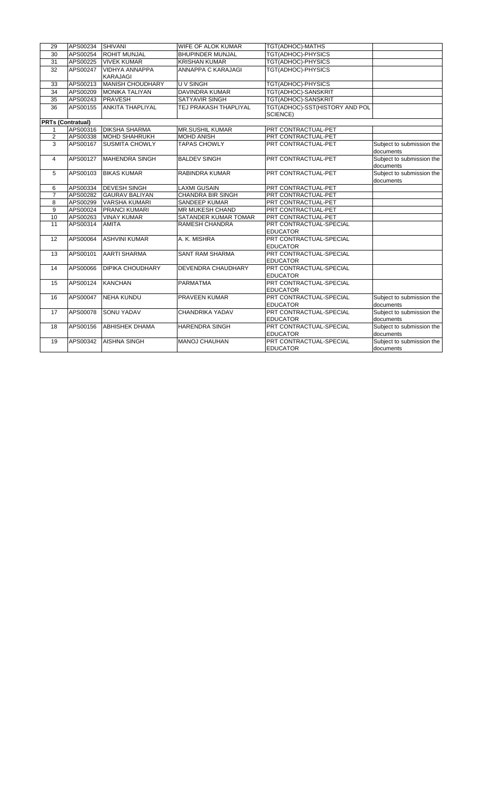| 29                       | APS00234 SHIVANI |                                          | <b>WIFE OF ALOK KUMAR</b> | TGT(ADHOC)-MATHS                           |                                        |
|--------------------------|------------------|------------------------------------------|---------------------------|--------------------------------------------|----------------------------------------|
| 30                       | APS00254         | <b>ROHIT MUNJAL</b>                      | <b>BHUPINDER MUNJAL</b>   | TGT(ADHOC)-PHYSICS                         |                                        |
| 31                       | APS00225         | <b>VIVEK KUMAR</b>                       | <b>KRISHAN KUMAR</b>      | TGT(ADHOC)-PHYSICS                         |                                        |
| 32                       | APS00247         | <b>VIDHYA ANNAPPA</b><br><b>KARAJAGI</b> | ANNAPPA C KARAJAGI        | TGT(ADHOC)-PHYSICS                         |                                        |
| 33                       | APS00213         | MANISH CHOUDHARY                         | U V SINGH                 | TGT(ADHOC)-PHYSICS                         |                                        |
| 34                       | APS00209         | <b>MONIKA TALIYAN</b>                    | <b>DAVINDRA KUMAR</b>     | TGT(ADHOC)-SANSKRIT                        |                                        |
| 35                       | APS00243         | PRAVESH                                  | SATYAVIR SINGH            | TGT(ADHOC)-SANSKRIT                        |                                        |
| 36                       | APS00155         | <b>ANKITA THAPLIYAL</b>                  | TEJ PRAKASH THAPLIYAL     | TGT(ADHOC)-SST(HISTORY AND POL<br>SCIENCE) |                                        |
| <b>PRTs (Contratual)</b> |                  |                                          |                           |                                            |                                        |
| 1                        | APS00316         | <b>DIKSHA SHARMA</b>                     | <b>MR.SUSHIL KUMAR</b>    | PRT CONTRACTUAL-PET                        |                                        |
| $\overline{2}$           | APS00338         | <b>MOHD SHAHRUKH</b>                     | <b>MOHD ANISH</b>         | PRT CONTRACTUAL-PET                        |                                        |
| 3                        | APS00167         | <b>SUSMITA CHOWLY</b>                    | <b>TAPAS CHOWLY</b>       | PRT CONTRACTUAL-PET                        | Subject to submission the<br>documents |
| 4                        | APS00127         | <b>MAHENDRA SINGH</b>                    | <b>BALDEV SINGH</b>       | PRT CONTRACTUAL-PET                        | Subject to submission the<br>documents |
| 5                        | APS00103         | <b>BIKAS KUMAR</b>                       | <b>RABINDRA KUMAR</b>     | PRT CONTRACTUAL-PET                        | Subject to submission the<br>documents |
| 6                        | APS00334         | <b>DEVESH SINGH</b>                      | <b>LAXMI GUSAIN</b>       | PRT CONTRACTUAL-PET                        |                                        |
| $\overline{7}$           | APS00282         | <b>GAURAV BALIYAN</b>                    | CHANDRA BIR SINGH         | PRT CONTRACTUAL-PET                        |                                        |
| 8                        | APS00299         | <b>VARSHA KUMARI</b>                     | <b>SANDEEP KUMAR</b>      | PRT CONTRACTUAL-PET                        |                                        |
| 9                        | APS00024         | <b>PRANCI KUMARI</b>                     | <b>MR MUKESH CHAND</b>    | PRT CONTRACTUAL-PET                        |                                        |
| 10                       | APS00263         | <b>VINAY KUMAR</b>                       | SATANDER KUMAR TOMAR      | PRT CONTRACTUAL-PET                        |                                        |
| 11                       | APS00314         | <b>AMITA</b>                             | <b>RAMESH CHANDRA</b>     | PRT CONTRACTUAL-SPECIAL<br><b>EDUCATOR</b> |                                        |
| 12                       | APS00064         | <b>ASHVINI KUMAR</b>                     | A. K. MISHRA              | PRT CONTRACTUAL-SPECIAL<br><b>EDUCATOR</b> |                                        |
| 13                       | APS00101         | <b>AARTI SHARMA</b>                      | <b>SANT RAM SHARMA</b>    | PRT CONTRACTUAL-SPECIAL<br><b>EDUCATOR</b> |                                        |
| 14                       | APS00066         | <b>DIPIKA CHOUDHARY</b>                  | DEVENDRA CHAUDHARY        | PRT CONTRACTUAL-SPECIAL<br><b>EDUCATOR</b> |                                        |
| 15                       | APS00124         | <b>KANCHAN</b>                           | <b>PARMATMA</b>           | PRT CONTRACTUAL-SPECIAL<br><b>EDUCATOR</b> |                                        |
| 16                       | APS00047         | <b>NEHA KUNDU</b>                        | <b>PRAVEEN KUMAR</b>      | PRT CONTRACTUAL-SPECIAL<br><b>EDUCATOR</b> | Subject to submission the<br>documents |
| 17                       | APS00078         | <b>SONU YADAV</b>                        | CHANDRIKA YADAV           | PRT CONTRACTUAL-SPECIAL<br><b>EDUCATOR</b> | Subject to submission the<br>documents |
| 18                       | APS00156         | <b>ABHISHEK DHAMA</b>                    | <b>HARENDRA SINGH</b>     | PRT CONTRACTUAL-SPECIAL<br><b>EDUCATOR</b> | Subject to submission the<br>documents |
| 19                       | APS00342         | <b>AISHNA SINGH</b>                      | <b>MANOJ CHAUHAN</b>      | PRT CONTRACTUAL-SPECIAL<br><b>EDUCATOR</b> | Subject to submission the<br>documents |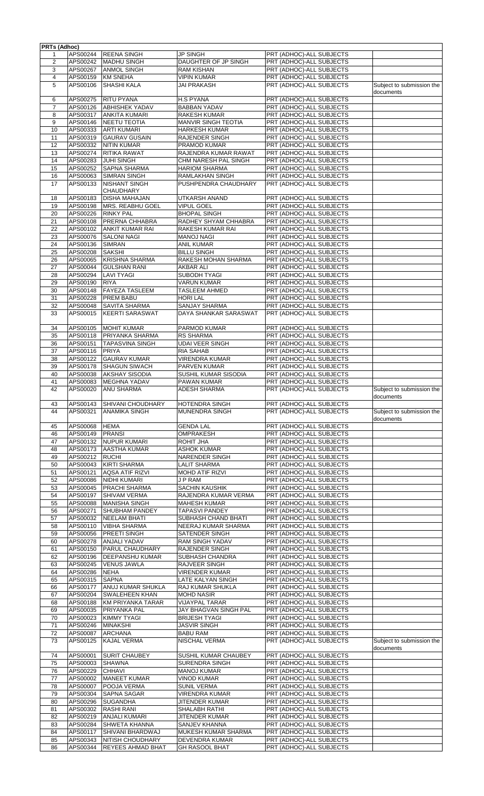|                | <b>PRTs (Adhoc)</b>  |                                                     |                                     |                                                      |                                        |
|----------------|----------------------|-----------------------------------------------------|-------------------------------------|------------------------------------------------------|----------------------------------------|
| 1              | APS00244             | <b>REENA SINGH</b>                                  | <b>JP SINGH</b>                     | PRT (ADHOC)-ALL SUBJECTS                             |                                        |
| 2              | APS00242             | <b>MADHU SINGH</b>                                  | DAUGHTER OF JP SINGH                | PRT (ADHOC)-ALL SUBJECTS                             |                                        |
| 3              | APS00267             | <b>ANMOL SINGH</b>                                  | <b>RAM KISHAN</b>                   | PRT (ADHOC)-ALL SUBJECTS                             |                                        |
| $\overline{4}$ | APS00159             | <b>KM SNEHA</b>                                     | <b>VIPIN KUMAR</b>                  | PRT (ADHOC)-ALL SUBJECTS                             |                                        |
| 5              | APS00106             | <b>SHASHI KALA</b>                                  | JAI PRAKASH                         | PRT (ADHOC)-ALL SUBJECTS                             | Subject to submission the              |
|                |                      |                                                     |                                     |                                                      | documents                              |
| 6              | APS00275             | RITU PYANA                                          | <b>H.S PYANA</b>                    | PRT (ADHOC)-ALL SUBJECTS                             |                                        |
| 7              | APS00126             | <b>ABHISHEK YADAV</b>                               | <b>BABBAN YADAV</b>                 | PRT (ADHOC)-ALL SUBJECTS                             |                                        |
| 8              | APS00317             | <b>ANKITA KUMARI</b>                                | <b>RAKESH KUMAR</b>                 | PRT (ADHOC)-ALL SUBJECTS                             |                                        |
| 9              | APS00146             | <b>NEETU TEOTIA</b>                                 | <b>MANVIR SINGH TEOTIA</b>          | PRT (ADHOC)-ALL SUBJECTS                             |                                        |
| 10             | APS00333             | <b>ARTI KUMARI</b>                                  | HARKESH KUMAR                       | PRT (ADHOC)-ALL SUBJECTS                             |                                        |
| 11             | APS00319             | <b>GAURAV GUSAIN</b>                                | RAJENDER SINGH                      | PRT (ADHOC)-ALL SUBJECTS                             |                                        |
| 12             | APS00332             | <b>NITIN KUMAR</b>                                  | PRAMOD KUMAR                        | PRT (ADHOC)-ALL SUBJECTS                             |                                        |
| 13             | APS00274             | RITIKA RAWAT                                        | RAJENDRA KUMAR RAWAT                | PRT (ADHOC)-ALL SUBJECTS                             |                                        |
| 14             | APS00283             | <b>JUHI SINGH</b>                                   | CHM NARESH PAL SINGH                | PRT (ADHOC)-ALL SUBJECTS                             |                                        |
| 15             | APS00252             | <b>SAPNA SHARMA</b>                                 | <b>HARIOM SHARMA</b>                | PRT (ADHOC)-ALL SUBJECTS                             |                                        |
| 16             | APS00063             | <b>SIMRAN SINGH</b>                                 | RAMLAKHAN SINGH                     | PRT (ADHOC)-ALL SUBJECTS                             |                                        |
| 17             | APS00133             | <b>NISHANT SINGH</b>                                | PUSHPENDRA CHAUDHARY                | PRT (ADHOC)-ALL SUBJECTS                             |                                        |
|                |                      | <b>CHAUDHARY</b>                                    |                                     |                                                      |                                        |
| 18             | APS00183             | <b>DISHA MAHAJAN</b>                                | UTKARSH ANAND                       | PRT (ADHOC)-ALL SUBJECTS                             |                                        |
| 19             | APS00198             | <b>MRS. REABHU GOEL</b>                             | <b>VIPUL GOEL</b>                   | PRT (ADHOC)-ALL SUBJECTS                             |                                        |
| 20             | APS00226             | <b>RINKY PAL</b>                                    | <b>BHOPAL SINGH</b>                 | PRT (ADHOC)-ALL SUBJECTS                             |                                        |
| 21             | APS00108             | PRERNA CHHABRA                                      | RADHEY SHYAM CHHABRA                | PRT (ADHOC)-ALL SUBJECTS                             |                                        |
| 22             | APS00102             | <b>ANKIT KUMAR RAI</b>                              | RAKESH KUMAR RAI                    | PRT (ADHOC)-ALL SUBJECTS                             |                                        |
| 23             | APS00076             | <b>SALONI NAGI</b>                                  | <b>MANOJ NAGI</b>                   | PRT (ADHOC)-ALL SUBJECTS                             |                                        |
| 24             | APS00136             | <b>SIMRAN</b>                                       | <b>ANIL KUMAR</b>                   | PRT (ADHOC)-ALL SUBJECTS                             |                                        |
| 25             | APS00208             | <b>SAKSHI</b>                                       | <b>BILLU SINGH</b>                  | PRT (ADHOC)-ALL SUBJECTS                             |                                        |
| 26             | APS00065             | <b>KRISHNA SHARMA</b>                               | RAKESH MOHAN SHARMA                 | PRT (ADHOC)-ALL SUBJECTS                             |                                        |
| 27             | APS00044             | <b>GULSHAN RANI</b>                                 | AKBAR ALI                           | PRT (ADHOC)-ALL SUBJECTS                             |                                        |
| 28             | APS00294             | <b>LAVI TYAGI</b>                                   | <b>SUBODH TYAGI</b>                 | PRT (ADHOC)-ALL SUBJECTS                             |                                        |
| 29             | APS00190             | <b>RIYA</b>                                         | <b>VARUN KUMAR</b>                  | PRT (ADHOC)-ALL SUBJECTS                             |                                        |
| 30             | APS00148             | <b>FAYEZA TASLEEM</b>                               | <b>TASLEEM AHMED</b>                | PRT (ADHOC)-ALL SUBJECTS                             |                                        |
| 31             | APS00228             | <b>PREM BABU</b>                                    | <b>HORI LAL</b>                     | PRT (ADHOC)-ALL SUBJECTS                             |                                        |
| 32             | APS00048             | <b>SAVITA SHARMA</b>                                | <b>SANJAY SHARMA</b>                | PRT (ADHOC)-ALL SUBJECTS                             |                                        |
| 33             | APS00015             | <b>KEERTI SARASWAT</b>                              | DAYA SHANKAR SARASWAT               | PRT (ADHOC)-ALL SUBJECTS                             |                                        |
|                |                      |                                                     |                                     |                                                      |                                        |
| 34             | APS00105             | <b>MOHIT KUMAR</b>                                  | PARMOD KUMAR                        | PRT (ADHOC)-ALL SUBJECTS                             |                                        |
| 35             | APS00118             | PRIYANKA SHARMA                                     | <b>RS SHARMA</b>                    | PRT (ADHOC)-ALL SUBJECTS                             |                                        |
| 36             | APS00151             | <b>TAPASVINA SINGH</b>                              | <b>UDAI VEER SINGH</b>              | PRT (ADHOC)-ALL SUBJECTS                             |                                        |
| 37             | APS00116             | <b>PRIYA</b>                                        | RIA SAHAB                           | PRT (ADHOC)-ALL SUBJECTS                             |                                        |
| 38             | APS00122             | <b>GAURAV KUMAR</b><br><b>SHAGUN SIWACH</b>         | <b>VIRENDRA KUMAR</b>               | PRT (ADHOC)-ALL SUBJECTS                             |                                        |
| 39<br>40       | APS00178<br>APS00038 | <b>AKSHAY SISODIA</b>                               | PARVEN KUMAR                        | PRT (ADHOC)-ALL SUBJECTS<br>PRT (ADHOC)-ALL SUBJECTS |                                        |
| 41             | APS00083             | <b>MEGHNA YADAV</b>                                 | SUSHIL KUMAR SISODIA<br>PAWAN KUMAR | PRT (ADHOC)-ALL SUBJECTS                             |                                        |
| 42             | APS00020             | <b>ANU SHARMA</b>                                   | ADESH SHARMA                        | PRT (ADHOC)-ALL SUBJECTS                             | Subject to submission the              |
|                |                      |                                                     |                                     |                                                      | documents                              |
| 43             |                      | APS00143 SHIVANI CHOUDHARY                          | HOTENDRA SINGH                      | PRT (ADHOC)-ALL SUBJECTS                             |                                        |
| 44             | APS00321             | <b>ANAMIKA SINGH</b>                                | MUNENDRA SINGH                      | PRT (ADHOC)-ALL SUBJECTS                             | Subject to submission the              |
|                |                      |                                                     |                                     |                                                      | documents                              |
| 45             | APS00068             | <b>HEMA</b>                                         | <b>GENDA LAL</b>                    | PRT (ADHOC)-ALL SUBJECTS                             |                                        |
| 46             | APS00149             | <b>PRANSI</b>                                       | <b>OMPRAKESH</b>                    | PRT (ADHOC)-ALL SUBJECTS                             |                                        |
| 47             | APS00132             | <b>NUPUR KUMARI</b>                                 | ROHIT JHA                           | PRT (ADHOC)-ALL SUBJECTS                             |                                        |
| 48             | APS00173             | <b>AASTHA KUMAR</b>                                 | <b>ASHOK KUMAR</b>                  | PRT (ADHOC)-ALL SUBJECTS                             |                                        |
| 49             |                      |                                                     |                                     |                                                      |                                        |
|                | APS00212             | <b>RUCHI</b>                                        | NARENDER SINGH                      | PRT (ADHOC)-ALL SUBJECTS                             |                                        |
| 50             | APS00043             | <b>KIRTI SHARMA</b>                                 | <b>LALIT SHARMA</b>                 | PRT (ADHOC)-ALL SUBJECTS                             |                                        |
| 51             | APS00121             | <b>AQSA ATIF RIZVI</b>                              | MOHD ATIF RIZVI                     | PRT (ADHOC)-ALL SUBJECTS                             |                                        |
| 52             | APS00086             | <b>NIDHI KUMARI</b>                                 | J P RAM                             | PRT (ADHOC)-ALL SUBJECTS                             |                                        |
| 53             | APS00045             | <b>PRACHI SHARMA</b>                                | <b>SACHIN KAUSHIK</b>               | PRT (ADHOC)-ALL SUBJECTS                             |                                        |
| 54             | APS00197             | <b>SHIVAM VERMA</b>                                 | RAJENDRA KUMAR VERMA                | PRT (ADHOC)-ALL SUBJECTS                             |                                        |
| 55             | APS00088             | <b>MANISHA SINGH</b>                                | <b>MAHESH KUMAR</b>                 | PRT (ADHOC)-ALL SUBJECTS                             |                                        |
| 56             | APS00271             | <b>SHUBHAM PANDEY</b>                               | <b>TAPASVI PANDEY</b>               | PRT (ADHOC)-ALL SUBJECTS                             |                                        |
| 57             | APS00032             | <b>NEELAM BHATI</b>                                 | SUBHASH CHAND BHATI                 | PRT (ADHOC)-ALL SUBJECTS                             |                                        |
| 58             | APS00110             | <b>VIBHA SHARMA</b>                                 | NEERAJ KUMAR SHARMA                 | PRT (ADHOC)-ALL SUBJECTS                             |                                        |
| 59             | APS00056             | PREETI SINGH                                        | SATENDER SINGH                      | PRT (ADHOC)-ALL SUBJECTS                             |                                        |
| 60             | APS00278             | <b>ANJALI YADAV</b>                                 | RAM SINGH YADAV                     | PRT (ADHOC)-ALL SUBJECTS                             |                                        |
| 61             | APS00150             | PARUL CHAUDHARY                                     | RAJENDER SINGH                      | PRT (ADHOC)-ALL SUBJECTS                             |                                        |
| 62             | APS00196             | <b>DEEPANSHU KUMAR</b>                              | SUBHASH CHANDRA                     | PRT (ADHOC)-ALL SUBJECTS                             |                                        |
| 63             | APS00245             | <b>VENUS JAWLA</b>                                  | RAJVEER SINGH                       | PRT (ADHOC)-ALL SUBJECTS                             |                                        |
| 64             | APS00286             | <b>NEHA</b>                                         | <b>VIRENDER KUMAR</b>               | PRT (ADHOC)-ALL SUBJECTS                             |                                        |
| 65             | APS00315             | <b>SAPNA</b>                                        | LATE KALYAN SINGH                   | PRT (ADHOC)-ALL SUBJECTS                             |                                        |
| 66             | APS00177             | ANUJ KUMAR SHUKLA                                   | RAJ KUMAR SHUKLA                    | PRT (ADHOC)-ALL SUBJECTS                             |                                        |
| 67             | APS00204             | <b>SWALEHEEN KHAN</b>                               | <b>MOHD NASIR</b>                   | PRT (ADHOC)-ALL SUBJECTS                             |                                        |
| 68             | APS00188             | <b>KM PRIYANKA TARAR</b>                            | VIJAYPAL TARAR                      | PRT (ADHOC)-ALL SUBJECTS                             |                                        |
| 69             | APS00035             | PRIYANKA PAL                                        | <b>JAY BHAGVAN SINGH PAL</b>        | PRT (ADHOC)-ALL SUBJECTS                             |                                        |
| 70             | APS00023             | <b>KIMMY TYAGI</b>                                  | <b>BRIJESH TYAGI</b>                | PRT (ADHOC)-ALL SUBJECTS                             |                                        |
| 71             | APS00246             | <b>MINAKSHI</b>                                     | <b>JASVIR SINGH</b>                 | PRT (ADHOC)-ALL SUBJECTS                             |                                        |
| 72             | APS00087             | <b>ARCHANA</b>                                      | <b>BABU RAM</b>                     | PRT (ADHOC)-ALL SUBJECTS                             |                                        |
| 73             | APS00125             | <b>KAJAL VERMA</b>                                  | NISCHAL VERMA                       | PRT (ADHOC)-ALL SUBJECTS                             | Subject to submission the<br>documents |
| 74             | APS00001             | <b>SURIT CHAUBEY</b>                                | SUSHIL KUMAR CHAUBEY                | PRT (ADHOC)-ALL SUBJECTS                             |                                        |
| 75             | APS00003             | <b>SHAWNA</b>                                       | <b>SURENDRA SINGH</b>               | PRT (ADHOC)-ALL SUBJECTS                             |                                        |
| 76             | APS00229             | <b>CHHAVI</b>                                       | <b>MANOJ KUMAR</b>                  | PRT (ADHOC)-ALL SUBJECTS                             |                                        |
| 77             | APS00002             | <b>MANEET KUMAR</b>                                 | <b>VINOD KUMAR</b>                  | PRT (ADHOC)-ALL SUBJECTS                             |                                        |
| 78             | APS00007             | POOJA VERMA                                         | <b>SUNIL VERMA</b>                  | PRT (ADHOC)-ALL SUBJECTS                             |                                        |
| 79             | APS00304             | <b>SAPNA SAGAR</b>                                  | VIRENDRA KUMAR                      | PRT (ADHOC)-ALL SUBJECTS                             |                                        |
| 80             | APS00296             | <b>SUGANDHA</b>                                     | JITENDER KUMAR                      | PRT (ADHOC)-ALL SUBJECTS                             |                                        |
| 81             | APS00302             | <b>RASHI RANI</b>                                   | SHALABH RATHI                       | PRT (ADHOC)-ALL SUBJECTS                             |                                        |
| 82             | APS00219             | <b>ANJALI KUMARI</b>                                | JITENDER KUMAR                      | PRT (ADHOC)-ALL SUBJECTS                             |                                        |
| 83             | APS00284             | <b>SHWETA KHANNA</b>                                | SANJEV KHANNA                       | PRT (ADHOC)-ALL SUBJECTS                             |                                        |
| 84             | APS00117             | SHIVANI BHARDWAJ                                    | MUKESH KUMAR SHARMA                 | PRT (ADHOC)-ALL SUBJECTS                             |                                        |
| 85<br>86       | APS00343<br>APS00344 | <b>NITISH CHOUDHARY</b><br><b>REYEES AHMAD BHAT</b> | DEVENDRA KUMAR<br>GH RASOOL BHAT    | PRT (ADHOC)-ALL SUBJECTS<br>PRT (ADHOC)-ALL SUBJECTS |                                        |